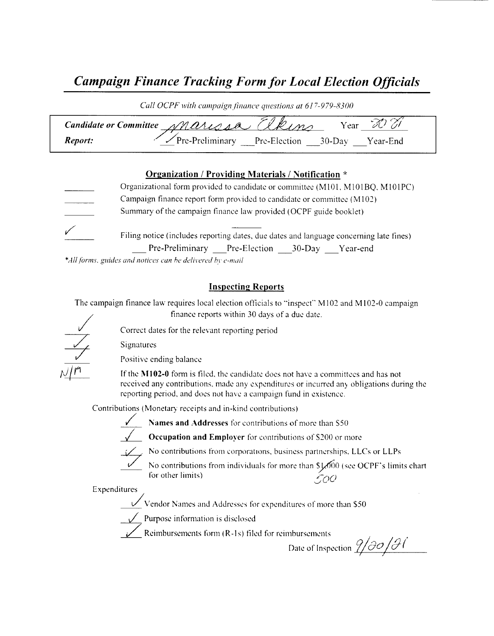# Campaign Finance Tracking Form for Local Election Officials

| Call OCPF with campaign finance questions at 617-979-8300 |                                                                 |  |  |  |
|-----------------------------------------------------------|-----------------------------------------------------------------|--|--|--|
|                                                           | Elkins<br>Candidate or Committee Marisse<br>Vear .              |  |  |  |
| Report:                                                   | $\sqrt{\text{Pre-Preliminary}}$ Pre-Election 30-Day<br>Year-End |  |  |  |

#### Organization / Providing Materials/ Notification \*

Organizational form provided to candidate or committee (M101, M101BO, M101PC) Campaign finance report form provided to candidate or committee (M102) Summary of the campaign finance law provided( OCPF guide booklet) Filing notice (includes reporting dates, due dates and language concerning late fines) Pre-Preliminary Pre-Election 30-Day Year-end

\*All forms, guides and notices can be delivered by e-mail

#### Inspecting Reports

The campaign finance law requires local election officials to "inspect" M102 and M102-0 campaign finance reports within 30 days of <sup>a</sup> due date.

Signatures

Positive ending balance

If the M102-0 form is filed, the candidate does not have a committees and has not received any contributions, made any expenditures or incurred any obligations during the reporting period, and does not have <sup>a</sup> campaign fund in existence.

Contributions ( Monetary receipts and in- kind contributions)

Correct dates for the relevant reporting period





Occupation and Employer for contributions of S200 or more



No contributions from corporations, business partnerships. LLCs or LLPs

No contributions from individuals for more than  $\frac{1}{2000}$  (see OCPF's limits chart for other limits)  $\mathcal{L}_{\mathcal{O}}\mathcal{O}$ 

Expenditures

Vendor Names and Addresses for expenditures of more than S50

 $\sqrt{\phantom{a}}$  Purpose information is disclosed

Reimbursements form  $(R-1s)$  filed for reimbursements

Date of Inspection  $\frac{\partial}{\partial \theta}$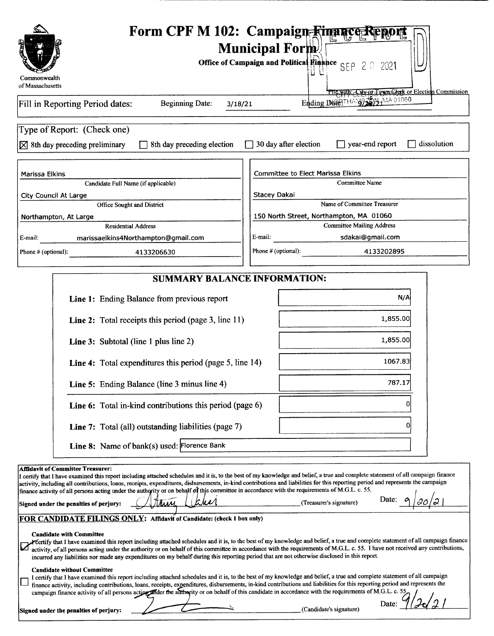| Commonwealth                                                                                                                                                                                                                                                                                                                                                                                                                                                                                                                                                                                                                    | Form CPF M 102: Campaign Rimance Report<br><b>Municipal Form</b><br><b>Office of Campaign and Political Finance</b> SEP 2 0 2021 |  |  |  |
|---------------------------------------------------------------------------------------------------------------------------------------------------------------------------------------------------------------------------------------------------------------------------------------------------------------------------------------------------------------------------------------------------------------------------------------------------------------------------------------------------------------------------------------------------------------------------------------------------------------------------------|----------------------------------------------------------------------------------------------------------------------------------|--|--|--|
| of Massachusetts                                                                                                                                                                                                                                                                                                                                                                                                                                                                                                                                                                                                                | File with: City or Town Clerk or Election Commission                                                                             |  |  |  |
| Fill in Reporting Period dates:<br><b>Beginning Date:</b><br>3/18/21                                                                                                                                                                                                                                                                                                                                                                                                                                                                                                                                                            | Ending DHETHAMPTED HARDING                                                                                                       |  |  |  |
| Type of Report: (Check one)<br>8th day preceding election<br>$\boxtimes$ 8th day preceding preliminary                                                                                                                                                                                                                                                                                                                                                                                                                                                                                                                          | 30 day after election<br>year-end report<br>dissolution                                                                          |  |  |  |
| Marissa Elkins                                                                                                                                                                                                                                                                                                                                                                                                                                                                                                                                                                                                                  | <b>Committee to Elect Marissa Elkins</b>                                                                                         |  |  |  |
| Candidate Full Name (if applicable)                                                                                                                                                                                                                                                                                                                                                                                                                                                                                                                                                                                             | Committee Name                                                                                                                   |  |  |  |
| City Council At Large                                                                                                                                                                                                                                                                                                                                                                                                                                                                                                                                                                                                           | <b>Stacey Dakai</b>                                                                                                              |  |  |  |
| Office Sought and District                                                                                                                                                                                                                                                                                                                                                                                                                                                                                                                                                                                                      | Name of Committee Treasurer                                                                                                      |  |  |  |
| Northampton, At Large                                                                                                                                                                                                                                                                                                                                                                                                                                                                                                                                                                                                           | 150 North Street, Northampton, MA 01060                                                                                          |  |  |  |
| <b>Residential Address</b>                                                                                                                                                                                                                                                                                                                                                                                                                                                                                                                                                                                                      | <b>Committee Mailing Address</b>                                                                                                 |  |  |  |
| E-mail:<br>marissaelkins4Northampton@gmail.com                                                                                                                                                                                                                                                                                                                                                                                                                                                                                                                                                                                  | E-mail:<br>sdakai@gmail.com                                                                                                      |  |  |  |
| Phone # (optional):<br>4133206630                                                                                                                                                                                                                                                                                                                                                                                                                                                                                                                                                                                               | Phone # (optional):<br>4133202895                                                                                                |  |  |  |
|                                                                                                                                                                                                                                                                                                                                                                                                                                                                                                                                                                                                                                 |                                                                                                                                  |  |  |  |
| <b>SUMMARY BALANCE INFORMATION:</b>                                                                                                                                                                                                                                                                                                                                                                                                                                                                                                                                                                                             |                                                                                                                                  |  |  |  |
| Line 1: Ending Balance from previous report                                                                                                                                                                                                                                                                                                                                                                                                                                                                                                                                                                                     | N/A                                                                                                                              |  |  |  |
| <b>Line 2:</b> Total receipts this period (page 3, line $11$ )                                                                                                                                                                                                                                                                                                                                                                                                                                                                                                                                                                  | 1,855.00                                                                                                                         |  |  |  |
| <b>Line 3:</b> Subtotal (line 1 plus line 2)                                                                                                                                                                                                                                                                                                                                                                                                                                                                                                                                                                                    | 1,855.00                                                                                                                         |  |  |  |
| <b>Line 4:</b> Total expenditures this period (page 5, line 14)                                                                                                                                                                                                                                                                                                                                                                                                                                                                                                                                                                 | 1067.83                                                                                                                          |  |  |  |
| Line 5: Ending Balance (line 3 minus line 4)                                                                                                                                                                                                                                                                                                                                                                                                                                                                                                                                                                                    | 787.17                                                                                                                           |  |  |  |
| Line 6: Total in-kind contributions this period (page 6)                                                                                                                                                                                                                                                                                                                                                                                                                                                                                                                                                                        |                                                                                                                                  |  |  |  |
| Line 7: Total (all) outstanding liabilities (page 7)                                                                                                                                                                                                                                                                                                                                                                                                                                                                                                                                                                            |                                                                                                                                  |  |  |  |
| Line 8: Name of bank(s) used: Florence Bank                                                                                                                                                                                                                                                                                                                                                                                                                                                                                                                                                                                     |                                                                                                                                  |  |  |  |
| <b>Affidavit of Committee Treasurer:</b><br>I certify that I have examined this report including attached schedules and it is, to the best of my knowledge and belief, a true and complete statement of all campaign finance<br>activity, including all contributions, loans, receipts, expenditures, disbursements, in-kind contributions and liabilities for this reporting period and represents the campaign<br>finance activity of all persons acting under the authority or on behalf of this committee in accordance with the requirements of M.G.L. c. 55.<br>thin.<br>likker<br>Signed under the penalties of perjury: | Date:<br>(Treasurer's signature)                                                                                                 |  |  |  |
| FOR CANDIDATE FILINGS ONLY: Affidavit of Candidate: (check 1 box only)                                                                                                                                                                                                                                                                                                                                                                                                                                                                                                                                                          |                                                                                                                                  |  |  |  |
| <b>Candidate with Committee</b><br>Yertify that I have examined this report including attached schedules and it is, to the best of my knowledge and belief, a true and complete statement of all campaign finance<br>activity, of all persons acting under the authority or on behalf of this committee in accordance with the requirements of M.G.L. c. 55. I have not received any contributions,<br>incurred any liabilities nor made any expenditures on my behalf during this reporting period that are not otherwise disclosed in this report.                                                                            |                                                                                                                                  |  |  |  |
| <b>Candidate without Committee</b><br>I certify that I have examined this report including attached schedules and it is, to the best of my knowledge and belief, a true and complete statement of all campaign<br>finance activity, including contributions, loans, receipts, expenditures, disbursements, in-kind contributions and liabilities for this reporting period and represents the<br>campaign finance activity of all persons acting ander the authority or on behalf of this candidate in accordance with the requirements of M.G.L. c. 55,                                                                        |                                                                                                                                  |  |  |  |
| Signed under the penalties of perjury:                                                                                                                                                                                                                                                                                                                                                                                                                                                                                                                                                                                          | Date:<br>(Candidate's signature)                                                                                                 |  |  |  |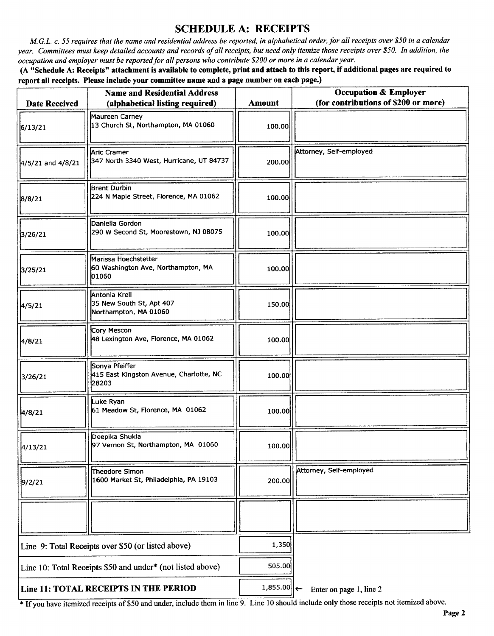## SCHEDULE A: RECEIPTS

M.G.L. c. 55 requires that the name and residential address be reported, in alphabetical order, for all receipts over \$50 in a calendar year. Committees must keep detailed accounts and records of all receipts, but need only itemize those receipts over \$50. In addition, the occupation and employer must be reported for all persons who contribute\$ 200 or more in <sup>a</sup> calendar year.

A" Schedule A: Receipts" attachment is available to complete, print and attach to this report, if additional pages are required to report all receipts. Please include your committee name and a page number on each page.)

| <b>Date Received</b>                                       | <b>Name and Residential Address</b><br>(alphabetical listing required) | <b>Amount</b> | <b>Occupation &amp; Employer</b><br>(for contributions of \$200 or more) |
|------------------------------------------------------------|------------------------------------------------------------------------|---------------|--------------------------------------------------------------------------|
| 6/13/21                                                    | Maureen Carney<br>13 Church St, Northampton, MA 01060                  | 100.00        |                                                                          |
| 4/5/21 and 4/8/21                                          | Aric Cramer<br>347 North 3340 West, Hurricane, UT 84737                | 200.00        | Attorney, Self-employed                                                  |
| 8/8/21                                                     | <b>Brent Durbin</b><br>224 N Maple Street, Florence, MA 01062          | 100.00        |                                                                          |
| 3/26/21                                                    | Daniella Gordon<br>290 W Second St, Moorestown, NJ 08075               | 100.00        |                                                                          |
| 3/25/21                                                    | Marissa Hoechstetter<br>60 Washington Ave, Northampton, MA<br>01060    | 100.00        |                                                                          |
| 4/5/21                                                     | Antonia Krell<br>35 New South St, Apt 407<br>Northampton, MA 01060     | 150.00        |                                                                          |
| 4/8/21                                                     | Cory Mescon<br>48 Lexington Ave, Florence, MA 01062                    | 100.00        |                                                                          |
| 3/26/21                                                    | Sonya Pfeiffer<br>415 East Kingston Avenue, Charlotte, NC<br>28203     | 100.00        |                                                                          |
| 4/8/21                                                     | Luke Ryan<br>61 Meadow St, Florence, MA 01062                          | 100.00        |                                                                          |
| 4/13/21                                                    | Deepika Shukla<br>97 Vernon St, Northampton, MA 01060                  | 100.00        |                                                                          |
| 9/2/21                                                     | Theodore Simon<br>1600 Market St, Philadelphia, PA 19103               | 200.00        | Attorney, Self-employed                                                  |
|                                                            |                                                                        |               |                                                                          |
| Line 9: Total Receipts over \$50 (or listed above)         |                                                                        | 1,350         |                                                                          |
| Line 10: Total Receipts \$50 and under* (not listed above) |                                                                        | 505.00        |                                                                          |
| Line 11: TOTAL RECEIPTS IN THE PERIOD                      |                                                                        | $1,855.00$    | Enter on page 1, line 2                                                  |

<sup>\*</sup> If you have itemized receipts of \$50 and under, include them in line 9. Line 10 should include only those receipts not itemized above.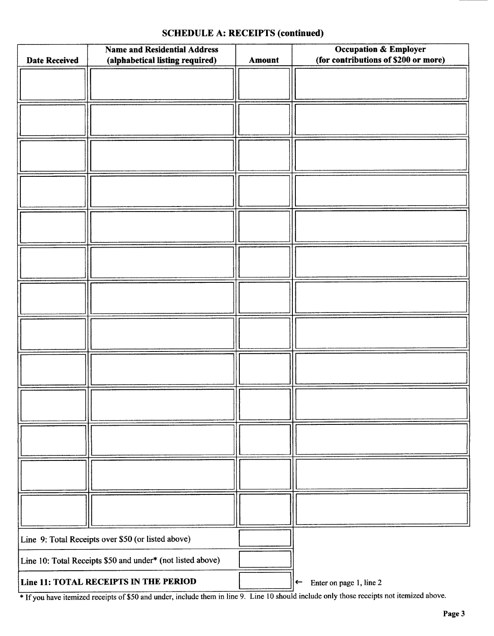### SCHEDULE A: RECEIPTS (continued)

| <b>Date Received</b>                                       | <b>Name and Residential Address</b><br>(alphabetical listing required)<br>Amount |  | <b>Occupation &amp; Employer</b><br>(for contributions of \$200 or more) |  |
|------------------------------------------------------------|----------------------------------------------------------------------------------|--|--------------------------------------------------------------------------|--|
|                                                            |                                                                                  |  |                                                                          |  |
|                                                            |                                                                                  |  |                                                                          |  |
|                                                            |                                                                                  |  |                                                                          |  |
|                                                            |                                                                                  |  |                                                                          |  |
|                                                            |                                                                                  |  |                                                                          |  |
|                                                            |                                                                                  |  |                                                                          |  |
|                                                            |                                                                                  |  |                                                                          |  |
|                                                            |                                                                                  |  |                                                                          |  |
|                                                            |                                                                                  |  |                                                                          |  |
|                                                            |                                                                                  |  |                                                                          |  |
|                                                            |                                                                                  |  |                                                                          |  |
|                                                            |                                                                                  |  |                                                                          |  |
|                                                            |                                                                                  |  |                                                                          |  |
|                                                            |                                                                                  |  |                                                                          |  |
|                                                            |                                                                                  |  |                                                                          |  |
|                                                            |                                                                                  |  |                                                                          |  |
|                                                            |                                                                                  |  |                                                                          |  |
|                                                            |                                                                                  |  |                                                                          |  |
|                                                            |                                                                                  |  |                                                                          |  |
|                                                            |                                                                                  |  |                                                                          |  |
|                                                            |                                                                                  |  |                                                                          |  |
|                                                            |                                                                                  |  |                                                                          |  |
|                                                            |                                                                                  |  |                                                                          |  |
|                                                            |                                                                                  |  |                                                                          |  |
| Line 9: Total Receipts over \$50 (or listed above)         |                                                                                  |  |                                                                          |  |
| Line 10: Total Receipts \$50 and under* (not listed above) |                                                                                  |  |                                                                          |  |
| Line 11: TOTAL RECEIPTS IN THE PERIOD                      |                                                                                  |  | Enter on page 1, line 2<br>$\leftarrow$                                  |  |

<sup>1</sup> If you have itemized receipts of \$50 and under, include them in line 9. Line 10 should include only those receipts not itemized above.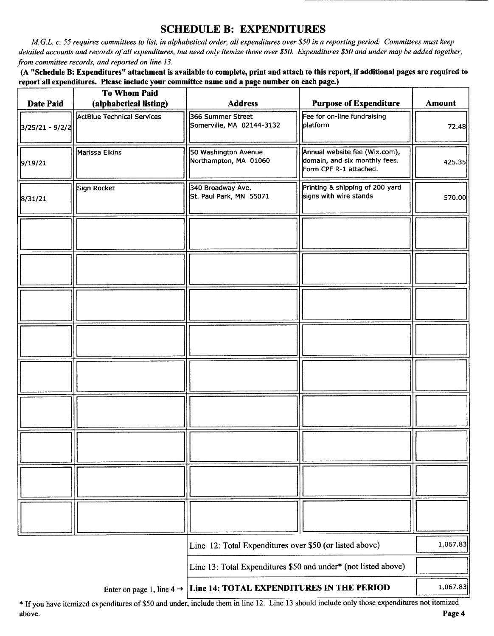## SCHEDULE B: EXPENDITURES

M.G.L. c. 55 requires committees to list, in alphabetical order, all expenditures over\$ 50 in a reporting period. Committees must keep detailed accounts and records of all expenditures, but need only itemize those over \$50. Expenditures \$50 and under may be added together, from committee records, and reported on line 13.

A" Schedule B: Expenditures" attachment is available to complete, print and attach to this report, if additional pages are required to report all expenditures. Please include your committee name and a page number on each page.)

| <b>Date Paid</b> | To Whom Paid<br>(alphabetical listing) | <b>Address</b>                                                 | <b>Purpose of Expenditure</b>                                                            | <b>Amount</b> |
|------------------|----------------------------------------|----------------------------------------------------------------|------------------------------------------------------------------------------------------|---------------|
|                  |                                        |                                                                |                                                                                          |               |
| 3/25/21 - 9/2/2  | <b>ActBlue Technical Services</b>      | 366 Summer Street<br>Somerville, MA 02144-3132                 | Fee for on-line fundraising<br>platform                                                  | 72.48         |
| 9/19/21          | Marissa Elkins                         | 50 Washington Avenue<br>Northampton, MA 01060                  | Annual website fee (Wix.com),<br>domain, and six monthly fees.<br>Form CPF R-1 attached. | 425.35        |
| 8/31/21          | Sign Rocket                            | 340 Broadway Ave.<br>St. Paul Park, MN 55071                   | Printing & shipping of 200 yard<br>signs with wire stands                                | 570.00        |
|                  |                                        |                                                                |                                                                                          |               |
|                  |                                        |                                                                |                                                                                          |               |
|                  |                                        |                                                                |                                                                                          |               |
|                  |                                        |                                                                |                                                                                          |               |
|                  |                                        |                                                                |                                                                                          |               |
|                  |                                        |                                                                |                                                                                          |               |
|                  |                                        |                                                                |                                                                                          |               |
|                  |                                        |                                                                |                                                                                          |               |
|                  |                                        |                                                                |                                                                                          |               |
|                  |                                        | Line 12: Total Expenditures over \$50 (or listed above)        |                                                                                          | 1,067.83      |
|                  |                                        | Line 13: Total Expenditures \$50 and under* (not listed above) |                                                                                          |               |
|                  | Enter on page 1, line $4 \rightarrow$  | Line 14: TOTAL EXPENDITURES IN THE PERIOD                      |                                                                                          | 1,067.83      |

If you have itemized expenditures of\$50 and under, include them in line 12. Line <sup>13</sup> should include only those expenditures not itemized above. **Page 4** above.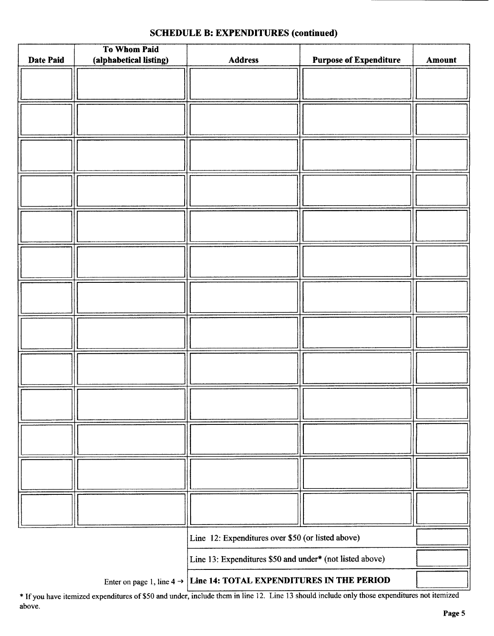# To Whom Paid Date Paid | (alphabetical listing) | Address | Purpose of Expenditure | Amount Line 12: Expenditures over \$50 (or listed above)

#### SCHEDULE B: EXPENDITURES (continued)

Line 13: Expenditures \$50 and under\* (not listed above)

Enter on page 1, line  $4 \rightarrow$  Line 14: TOTAL EXPENDITURES IN THE PERIOD

\* If you have itemized expenditures of \$50 and under, include them in line 12. Line 13 should include only those expenditures not itemized above.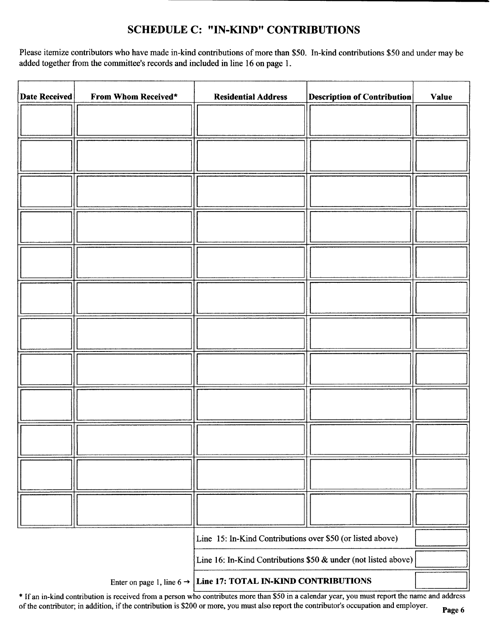# SCHEDULE C: "IN-KIND" CONTRIBUTIONS

Please itemize contributors who have made in-kind contributions of more than \$50. In-kind contributions \$50 and under may be added together from the committee's records and included in line 16 on page 1.

| <b>Date Received</b> | From Whom Received* | <b>Residential Address</b>                                                 | <b>Description of Contribution</b> | <b>Value</b> |
|----------------------|---------------------|----------------------------------------------------------------------------|------------------------------------|--------------|
|                      |                     |                                                                            |                                    |              |
|                      |                     |                                                                            |                                    |              |
|                      |                     |                                                                            |                                    |              |
|                      |                     |                                                                            |                                    |              |
|                      |                     |                                                                            |                                    |              |
|                      |                     |                                                                            |                                    |              |
|                      |                     |                                                                            |                                    |              |
|                      |                     |                                                                            |                                    |              |
|                      |                     |                                                                            |                                    |              |
|                      |                     |                                                                            |                                    |              |
|                      |                     |                                                                            |                                    |              |
|                      |                     |                                                                            |                                    |              |
|                      |                     |                                                                            |                                    |              |
|                      |                     |                                                                            |                                    |              |
|                      |                     |                                                                            |                                    |              |
|                      |                     |                                                                            |                                    |              |
|                      |                     |                                                                            |                                    |              |
|                      |                     |                                                                            |                                    |              |
|                      |                     | Line 15: In-Kind Contributions over \$50 (or listed above)                 |                                    |              |
|                      |                     | Line 16: In-Kind Contributions \$50 & under (not listed above)             |                                    |              |
|                      |                     | Enter on page 1, line $6 \rightarrow$ Line 17: TOTAL IN-KIND CONTRIBUTIONS |                                    |              |

Enter on page 1, line  $6 \rightarrow$  Line 17: TOTAL IN-KIND CONTRIBUTIONS

If an in-kind contribution is received from <sup>a</sup> person who contributes more than\$ <sup>50</sup> in <sup>a</sup> calendar year, you must report the name and address of the contributor; in addition, if the contribution is \$200 or more, you must also report the contributor's occupation and employer.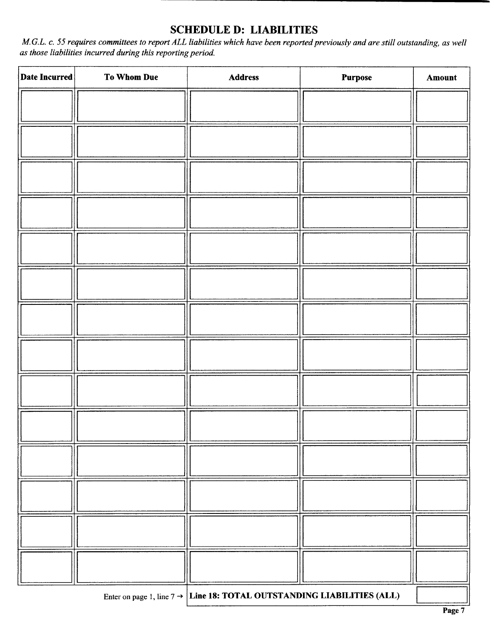# SCHEDULE D: LIABILITIES

M.G.L. c. 55 requires committees to report ALL liabilities which have been reported previously and are still outstanding, as well as those liabilities incurred during this reporting period.

| Enter on page 1, line $7 \rightarrow$ Line 18: TOTAL OUTSTANDING LIABILITIES (ALL) |  |  |
|------------------------------------------------------------------------------------|--|--|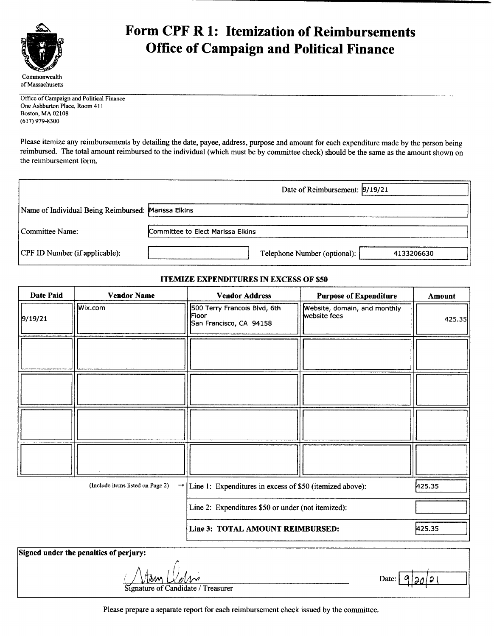

# Form CPF R 1: Itemization of Reimbursements Office of Campaign and Political Finance

Office of Campaign and Political Finance One Ashburton Place, Room 411 Boston, MA 02108 (617) 979-8300

Please itemize any reimbursements by detailing the date, payee, address, purpose and amount for each expenditure made by the person being reimbursed. The total amount reimbursed to the individual( which must be by committee check) should be the same as the amount shown on the reimbursement form.

|                                                     | Date of Reimbursement: 9/19/21             |
|-----------------------------------------------------|--------------------------------------------|
| Name of Individual Being Reimbursed: Marissa Elkins |                                            |
| Committee Name:                                     | Committee to Elect Marissa Elkins          |
| CPF ID Number (if applicable):                      | Telephone Number (optional):<br>4133206630 |

#### **ITEMIZE EXPENDITURES IN EXCESS OF \$50**

| <b>Date Paid</b> | <b>Vendor Name</b>               | <b>Vendor Address</b>                                                   | <b>Purpose of Expenditure</b>                | <b>Amount</b> |
|------------------|----------------------------------|-------------------------------------------------------------------------|----------------------------------------------|---------------|
| 9/19/21          | Wix.com                          | 500 Terry Francois Blvd, 6th<br><b>Floor</b><br>San Francisco, CA 94158 | Website, domain, and monthly<br>website fees | 425.35        |
|                  |                                  |                                                                         |                                              |               |
|                  |                                  |                                                                         |                                              |               |
|                  |                                  |                                                                         |                                              |               |
|                  |                                  |                                                                         |                                              |               |
|                  | (Include items listed on Page 2) | $\rightarrow$ Line 1: Expenditures in excess of \$50 (itemized above):  |                                              | 425.35        |
|                  |                                  | Line 2: Expenditures \$50 or under (not itemized):                      |                                              |               |
|                  |                                  | Line 3: TOTAL AMOUNT REIMBURSED:                                        |                                              | 425.35        |

| Signed under the penalties of perjury: |                          |
|----------------------------------------|--------------------------|
|                                        |                          |
| trun <i>Velsin</i>                     | Date: $9 \mid 20 \mid 2$ |
| Signature of Candidate / Treasurer     |                          |

Please prepare <sup>a</sup> separate report for each reimbursement check issued by the committee.